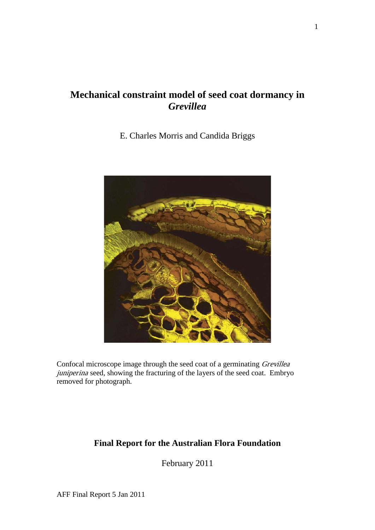# **Mechanical constraint model of seed coat dormancy in**  *Grevillea*

E. Charles Morris and Candida Briggs



Confocal microscope image through the seed coat of a germinating Grevillea juniperina seed, showing the fracturing of the layers of the seed coat. Embryo removed for photograph.

# **Final Report for the Australian Flora Foundation**

February 2011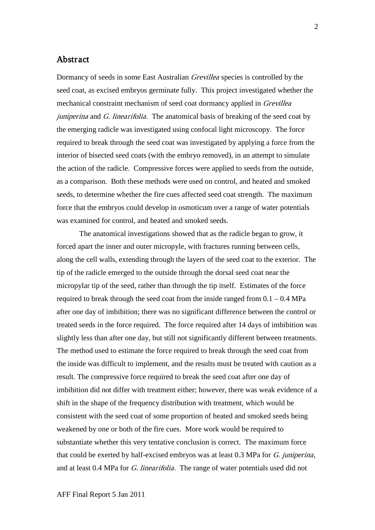# Abstract

Dormancy of seeds in some East Australian *Grevillea* species is controlled by the seed coat, as excised embryos germinate fully. This project investigated whether the mechanical constraint mechanism of seed coat dormancy applied in Grevillea  $j$ uniperina and  $G$ . linearifolia. The anatomical basis of breaking of the seed coat by the emerging radicle was investigated using confocal light microscopy. The force required to break through the seed coat was investigated by applying a force from the interior of bisected seed coats (with the embryo removed), in an attempt to simulate the action of the radicle. Compressive forces were applied to seeds from the outside, as a comparison. Both these methods were used on control, and heated and smoked seeds, to determine whether the fire cues affected seed coat strength. The maximum force that the embryos could develop in osmoticum over a range of water potentials was examined for control, and heated and smoked seeds.

The anatomical investigations showed that as the radicle began to grow, it forced apart the inner and outer micropyle, with fractures running between cells, along the cell walls, extending through the layers of the seed coat to the exterior. The tip of the radicle emerged to the outside through the dorsal seed coat near the micropylar tip of the seed, rather than through the tip itself. Estimates of the force required to break through the seed coat from the inside ranged from  $0.1 - 0.4$  MPa after one day of imbibition; there was no significant difference between the control or treated seeds in the force required. The force required after 14 days of imbibition was slightly less than after one day, but still not significantly different between treatments. The method used to estimate the force required to break through the seed coat from the inside was difficult to implement, and the results must be treated with caution as a result. The compressive force required to break the seed coat after one day of imbibition did not differ with treatment either; however, there was weak evidence of a shift in the shape of the frequency distribution with treatment, which would be consistent with the seed coat of some proportion of heated and smoked seeds being weakened by one or both of the fire cues. More work would be required to substantiate whether this very tentative conclusion is correct. The maximum force that could be exerted by half-excised embryos was at least 0.3 MPa for G. juniperina, and at least 0.4 MPa for G. linearifolia. The range of water potentials used did not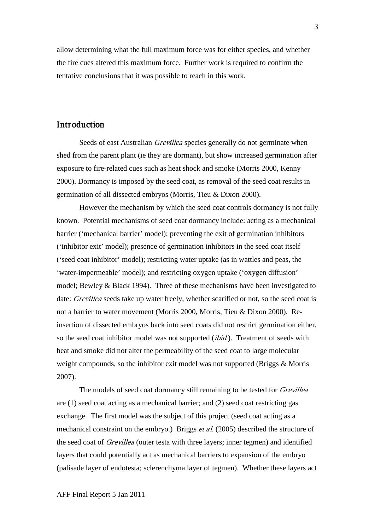allow determining what the full maximum force was for either species, and whether the fire cues altered this maximum force. Further work is required to confirm the tentative conclusions that it was possible to reach in this work.

# Introduction

Seeds of east Australian *Grevillea* species generally do not germinate when shed from the parent plant (ie they are dormant), but show increased germination after exposure to fire-related cues such as heat shock and smoke (Morris 2000, Kenny 2000). Dormancy is imposed by the seed coat, as removal of the seed coat results in germination of all dissected embryos (Morris, Tieu & Dixon 2000).

However the mechanism by which the seed coat controls dormancy is not fully known. Potential mechanisms of seed coat dormancy include: acting as a mechanical barrier ('mechanical barrier' model); preventing the exit of germination inhibitors ('inhibitor exit' model); presence of germination inhibitors in the seed coat itself ('seed coat inhibitor' model); restricting water uptake (as in wattles and peas, the 'water-impermeable' model); and restricting oxygen uptake ('oxygen diffusion' model; Bewley & Black 1994). Three of these mechanisms have been investigated to date: *Grevillea* seeds take up water freely, whether scarified or not, so the seed coat is not a barrier to water movement (Morris 2000, Morris, Tieu & Dixon 2000). Reinsertion of dissected embryos back into seed coats did not restrict germination either, so the seed coat inhibitor model was not supported *(ibid.)*. Treatment of seeds with heat and smoke did not alter the permeability of the seed coat to large molecular weight compounds, so the inhibitor exit model was not supported (Briggs & Morris 2007).

The models of seed coat dormancy still remaining to be tested for *Grevillea* are (1) seed coat acting as a mechanical barrier; and (2) seed coat restricting gas exchange. The first model was the subject of this project (seed coat acting as a mechanical constraint on the embryo.) Briggs et al. (2005) described the structure of the seed coat of Grevillea (outer testa with three layers; inner tegmen) and identified layers that could potentially act as mechanical barriers to expansion of the embryo (palisade layer of endotesta; sclerenchyma layer of tegmen). Whether these layers act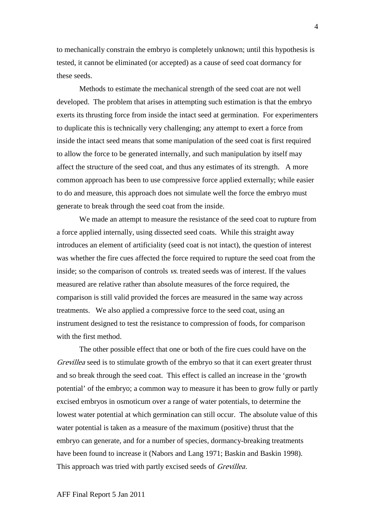to mechanically constrain the embryo is completely unknown; until this hypothesis is tested, it cannot be eliminated (or accepted) as a cause of seed coat dormancy for these seeds.

Methods to estimate the mechanical strength of the seed coat are not well developed. The problem that arises in attempting such estimation is that the embryo exerts its thrusting force from inside the intact seed at germination. For experimenters to duplicate this is technically very challenging; any attempt to exert a force from inside the intact seed means that some manipulation of the seed coat is first required to allow the force to be generated internally, and such manipulation by itself may affect the structure of the seed coat, and thus any estimates of its strength. A more common approach has been to use compressive force applied externally; while easier to do and measure, this approach does not simulate well the force the embryo must generate to break through the seed coat from the inside.

We made an attempt to measure the resistance of the seed coat to rupture from a force applied internally, using dissected seed coats. While this straight away introduces an element of artificiality (seed coat is not intact), the question of interest was whether the fire cues affected the force required to rupture the seed coat from the inside; so the comparison of controls vs. treated seeds was of interest. If the values measured are relative rather than absolute measures of the force required, the comparison is still valid provided the forces are measured in the same way across treatments. We also applied a compressive force to the seed coat, using an instrument designed to test the resistance to compression of foods, for comparison with the first method.

The other possible effect that one or both of the fire cues could have on the Grevillea seed is to stimulate growth of the embryo so that it can exert greater thrust and so break through the seed coat. This effect is called an increase in the 'growth potential' of the embryo; a common way to measure it has been to grow fully or partly excised embryos in osmoticum over a range of water potentials, to determine the lowest water potential at which germination can still occur. The absolute value of this water potential is taken as a measure of the maximum (positive) thrust that the embryo can generate, and for a number of species, dormancy-breaking treatments have been found to increase it (Nabors and Lang 1971; Baskin and Baskin 1998). This approach was tried with partly excised seeds of *Grevillea*.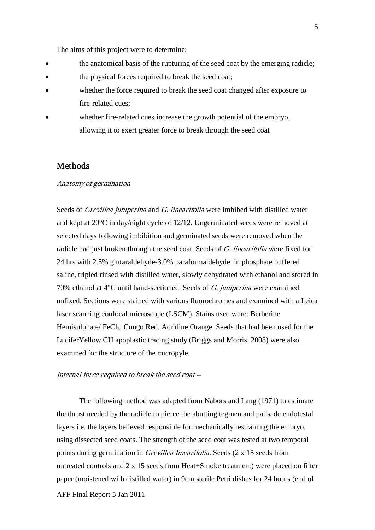The aims of this project were to determine:

- the anatomical basis of the rupturing of the seed coat by the emerging radicle;
- the physical forces required to break the seed coat;
- whether the force required to break the seed coat changed after exposure to fire-related cues;
- whether fire-related cues increase the growth potential of the embryo, allowing it to exert greater force to break through the seed coat

# Methods

#### Anatomy of germination

Seeds of *Grevillea juniperina* and *G. linearifolia* were imbibed with distilled water and kept at 20°C in day/night cycle of 12/12. Ungerminated seeds were removed at selected days following imbibition and germinated seeds were removed when the radicle had just broken through the seed coat. Seeds of G. linearifolia were fixed for 24 hrs with 2.5% glutaraldehyde-3.0% paraformaldehyde in phosphate buffered saline, tripled rinsed with distilled water, slowly dehydrated with ethanol and stored in 70% ethanol at  $4^{\circ}$ C until hand-sectioned. Seeds of G. juniperina were examined unfixed. Sections were stained with various fluorochromes and examined with a Leica laser scanning confocal microscope (LSCM). Stains used were: Berberine Hemisulphate/ FeCl<sub>3</sub>, Congo Red, Acridine Orange. Seeds that had been used for the LuciferYellow CH apoplastic tracing study (Briggs and Morris, 2008) were also examined for the structure of the micropyle.

#### Internal force required to break the seed coat –

AFF Final Report 5 Jan 2011 The following method was adapted from Nabors and Lang (1971) to estimate the thrust needed by the radicle to pierce the abutting tegmen and palisade endotestal layers i.e. the layers believed responsible for mechanically restraining the embryo, using dissected seed coats. The strength of the seed coat was tested at two temporal points during germination in Grevillea linearifolia. Seeds (2 x 15 seeds from untreated controls and 2 x 15 seeds from Heat+Smoke treatment) were placed on filter paper (moistened with distilled water) in 9cm sterile Petri dishes for 24 hours (end of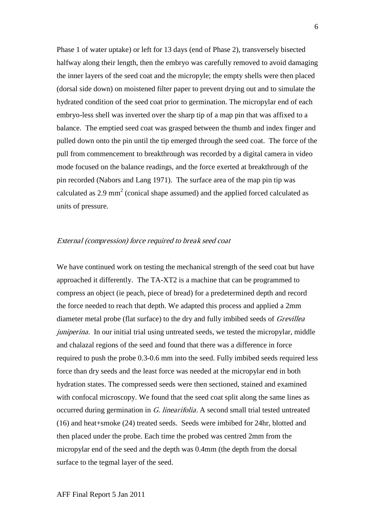Phase 1 of water uptake) or left for 13 days (end of Phase 2), transversely bisected halfway along their length, then the embryo was carefully removed to avoid damaging the inner layers of the seed coat and the micropyle; the empty shells were then placed (dorsal side down) on moistened filter paper to prevent drying out and to simulate the hydrated condition of the seed coat prior to germination. The micropylar end of each embryo-less shell was inverted over the sharp tip of a map pin that was affixed to a balance. The emptied seed coat was grasped between the thumb and index finger and pulled down onto the pin until the tip emerged through the seed coat. The force of the pull from commencement to breakthrough was recorded by a digital camera in video mode focused on the balance readings, and the force exerted at breakthrough of the pin recorded (Nabors and Lang 1971). The surface area of the map pin tip was calculated as  $2.9 \text{ mm}^2$  (conical shape assumed) and the applied forced calculated as units of pressure.

#### External (compression) force required to break seed coat

We have continued work on testing the mechanical strength of the seed coat but have approached it differently. The TA-XT2 is a machine that can be programmed to compress an object (ie peach, piece of bread) for a predetermined depth and record the force needed to reach that depth. We adapted this process and applied a 2mm diameter metal probe (flat surface) to the dry and fully imbibed seeds of Grevillea juniperina. In our initial trial using untreated seeds, we tested the micropylar, middle and chalazal regions of the seed and found that there was a difference in force required to push the probe 0.3-0.6 mm into the seed. Fully imbibed seeds required less force than dry seeds and the least force was needed at the micropylar end in both hydration states. The compressed seeds were then sectioned, stained and examined with confocal microscopy. We found that the seed coat split along the same lines as occurred during germination in G. linearifolia. A second small trial tested untreated (16) and heat+smoke (24) treated seeds. Seeds were imbibed for 24hr, blotted and then placed under the probe. Each time the probed was centred 2mm from the micropylar end of the seed and the depth was 0.4mm (the depth from the dorsal surface to the tegmal layer of the seed.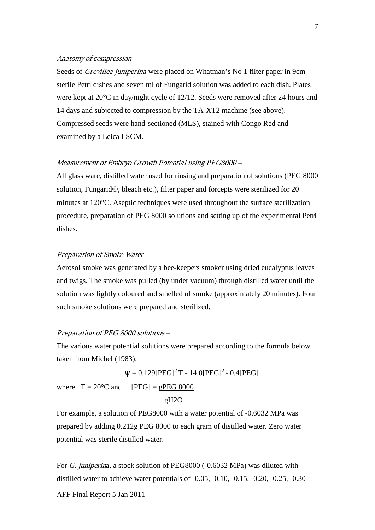#### Anatomy of compression

Seeds of *Grevillea juniperina* were placed on Whatman's No 1 filter paper in 9cm sterile Petri dishes and seven ml of Fungarid solution was added to each dish. Plates were kept at 20°C in day/night cycle of 12/12. Seeds were removed after 24 hours and 14 days and subjected to compression by the TA-XT2 machine (see above). Compressed seeds were hand-sectioned (MLS), stained with Congo Red and examined by a Leica LSCM.

#### Measurement of Embryo Growth Potential using PEG8000 –

All glass ware, distilled water used for rinsing and preparation of solutions (PEG 8000 solution, Fungarid©, bleach etc.), filter paper and forcepts were sterilized for 20 minutes at 120°C. Aseptic techniques were used throughout the surface sterilization procedure, preparation of PEG 8000 solutions and setting up of the experimental Petri dishes.

#### Preparation of Smoke Water –

Aerosol smoke was generated by a bee-keepers smoker using dried eucalyptus leaves and twigs. The smoke was pulled (by under vacuum) through distilled water until the solution was lightly coloured and smelled of smoke (approximately 20 minutes). Four such smoke solutions were prepared and sterilized.

#### Preparation of PEG 8000 solutions –

The various water potential solutions were prepared according to the formula below taken from Michel (1983):

 $\Psi = 0.129[PEG]^2 T - 14.0[PEG]^2 - 0.4[PEG]$ where  $T = 20^{\circ}$ C and [PEG] =  $g$ PEG 8000

```
 gH2O
```
For example, a solution of PEG8000 with a water potential of -0.6032 MPa was prepared by adding 0.212g PEG 8000 to each gram of distilled water. Zero water potential was sterile distilled water.

For G. juniperina, a stock solution of PEG8000 (-0.6032 MPa) was diluted with distilled water to achieve water potentials of -0.05, -0.10, -0.15, -0.20, -0.25, -0.30

AFF Final Report 5 Jan 2011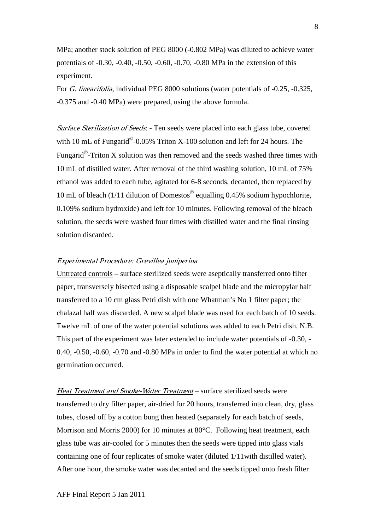MPa; another stock solution of PEG 8000 (-0.802 MPa) was diluted to achieve water potentials of -0.30, -0.40, -0.50, -0.60, -0.70, -0.80 MPa in the extension of this experiment.

For G. linearifolia, individual PEG 8000 solutions (water potentials of -0.25, -0.325, -0.375 and -0.40 MPa) were prepared, using the above formula.

Surface Sterilization of Seeds: - Ten seeds were placed into each glass tube, covered with 10 mL of Fungarid<sup> $\odot$ </sup>-0.05% Triton X-100 solution and left for 24 hours. The Fungarid $^{\circ}$ -Triton X solution was then removed and the seeds washed three times with 10 mL of distilled water. After removal of the third washing solution, 10 mL of 75% ethanol was added to each tube, agitated for 6-8 seconds, decanted, then replaced by 10 mL of bleach (1/11 dilution of Domestos $^{\circ}$  equalling 0.45% sodium hypochlorite, 0.109% sodium hydroxide) and left for 10 minutes. Following removal of the bleach solution, the seeds were washed four times with distilled water and the final rinsing solution discarded.

### Experimental Procedure: Grevillea juniperina

Untreated controls – surface sterilized seeds were aseptically transferred onto filter paper, transversely bisected using a disposable scalpel blade and the micropylar half transferred to a 10 cm glass Petri dish with one Whatman's No 1 filter paper; the chalazal half was discarded. A new scalpel blade was used for each batch of 10 seeds. Twelve mL of one of the water potential solutions was added to each Petri dish. N.B. This part of the experiment was later extended to include water potentials of -0.30, - 0.40, -0.50, -0.60, -0.70 and -0.80 MPa in order to find the water potential at which no germination occurred.

Heat Treatment and Smoke-Water Treatment – surface sterilized seeds were transferred to dry filter paper, air-dried for 20 hours, transferred into clean, dry, glass tubes, closed off by a cotton bung then heated (separately for each batch of seeds, Morrison and Morris 2000) for 10 minutes at 80°C. Following heat treatment, each glass tube was air-cooled for 5 minutes then the seeds were tipped into glass vials containing one of four replicates of smoke water (diluted 1/11with distilled water). After one hour, the smoke water was decanted and the seeds tipped onto fresh filter

8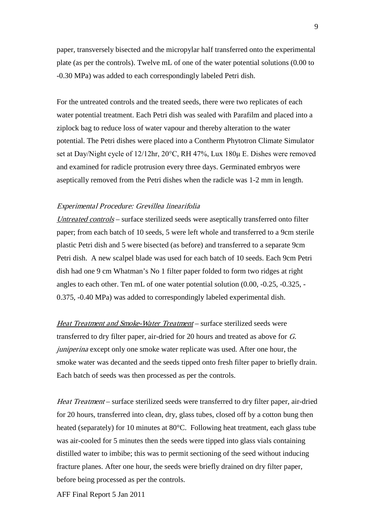paper, transversely bisected and the micropylar half transferred onto the experimental plate (as per the controls). Twelve mL of one of the water potential solutions (0.00 to -0.30 MPa) was added to each correspondingly labeled Petri dish.

For the untreated controls and the treated seeds, there were two replicates of each water potential treatment. Each Petri dish was sealed with Parafilm and placed into a ziplock bag to reduce loss of water vapour and thereby alteration to the water potential. The Petri dishes were placed into a Contherm Phytotron Climate Simulator set at Day/Night cycle of 12/12hr, 20°C, RH 47%, Lux 180μ E. Dishes were removed and examined for radicle protrusion every three days. Germinated embryos were aseptically removed from the Petri dishes when the radicle was 1-2 mm in length.

### Experimental Procedure: Grevillea linearifolia

Untreated controls – surface sterilized seeds were aseptically transferred onto filter paper; from each batch of 10 seeds, 5 were left whole and transferred to a 9cm sterile plastic Petri dish and 5 were bisected (as before) and transferred to a separate 9cm Petri dish. A new scalpel blade was used for each batch of 10 seeds. Each 9cm Petri dish had one 9 cm Whatman's No 1 filter paper folded to form two ridges at right angles to each other. Ten mL of one water potential solution (0.00, -0.25, -0.325, - 0.375, -0.40 MPa) was added to correspondingly labeled experimental dish.

Heat Treatment and Smoke-Water Treatment – surface sterilized seeds were transferred to dry filter paper, air-dried for 20 hours and treated as above for G. juniperina except only one smoke water replicate was used. After one hour, the smoke water was decanted and the seeds tipped onto fresh filter paper to briefly drain. Each batch of seeds was then processed as per the controls.

Heat Treatment – surface sterilized seeds were transferred to dry filter paper, air-dried for 20 hours, transferred into clean, dry, glass tubes, closed off by a cotton bung then heated (separately) for 10 minutes at 80°C. Following heat treatment, each glass tube was air-cooled for 5 minutes then the seeds were tipped into glass vials containing distilled water to imbibe; this was to permit sectioning of the seed without inducing fracture planes. After one hour, the seeds were briefly drained on dry filter paper, before being processed as per the controls.

AFF Final Report 5 Jan 2011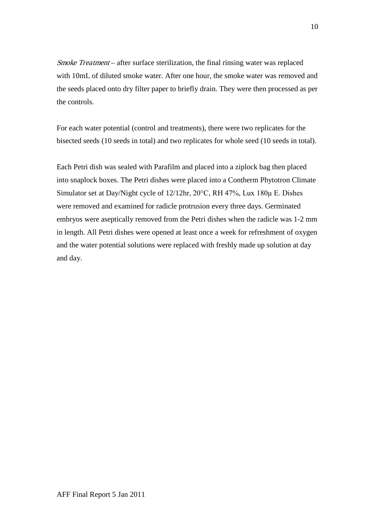Smoke Treatment – after surface sterilization, the final rinsing water was replaced with 10mL of diluted smoke water. After one hour, the smoke water was removed and the seeds placed onto dry filter paper to briefly drain. They were then processed as per the controls.

For each water potential (control and treatments), there were two replicates for the bisected seeds (10 seeds in total) and two replicates for whole seed (10 seeds in total).

Each Petri dish was sealed with Parafilm and placed into a ziplock bag then placed into snaplock boxes. The Petri dishes were placed into a Contherm Phytotron Climate Simulator set at Day/Night cycle of 12/12hr, 20°C, RH 47%, Lux 180μ E. Dishes were removed and examined for radicle protrusion every three days. Germinated embryos were aseptically removed from the Petri dishes when the radicle was 1-2 mm in length. All Petri dishes were opened at least once a week for refreshment of oxygen and the water potential solutions were replaced with freshly made up solution at day and day.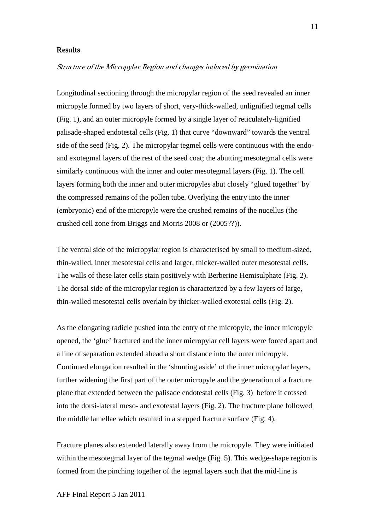#### Results

### Structure of the Micropylar Region and changes induced by germination

Longitudinal sectioning through the micropylar region of the seed revealed an inner micropyle formed by two layers of short, very-thick-walled, unlignified tegmal cells (Fig. 1), and an outer micropyle formed by a single layer of reticulately-lignified palisade-shaped endotestal cells (Fig. 1) that curve "downward" towards the ventral side of the seed (Fig. 2). The micropylar tegmel cells were continuous with the endoand exotegmal layers of the rest of the seed coat; the abutting mesotegmal cells were similarly continuous with the inner and outer mesotegmal layers (Fig. 1). The cell layers forming both the inner and outer micropyles abut closely "glued together' by the compressed remains of the pollen tube. Overlying the entry into the inner (embryonic) end of the micropyle were the crushed remains of the nucellus (the crushed cell zone from Briggs and Morris 2008 or (2005??)).

The ventral side of the micropylar region is characterised by small to medium-sized, thin-walled, inner mesotestal cells and larger, thicker-walled outer mesotestal cells. The walls of these later cells stain positively with Berberine Hemisulphate (Fig. 2). The dorsal side of the micropylar region is characterized by a few layers of large, thin-walled mesotestal cells overlain by thicker-walled exotestal cells (Fig. 2).

As the elongating radicle pushed into the entry of the micropyle, the inner micropyle opened, the 'glue' fractured and the inner micropylar cell layers were forced apart and a line of separation extended ahead a short distance into the outer micropyle. Continued elongation resulted in the 'shunting aside' of the inner micropylar layers, further widening the first part of the outer micropyle and the generation of a fracture plane that extended between the palisade endotestal cells (Fig. 3) before it crossed into the dorsi-lateral meso- and exotestal layers (Fig. 2). The fracture plane followed the middle lamellae which resulted in a stepped fracture surface (Fig. 4).

Fracture planes also extended laterally away from the micropyle. They were initiated within the mesotegmal layer of the tegmal wedge (Fig. 5). This wedge-shape region is formed from the pinching together of the tegmal layers such that the mid-line is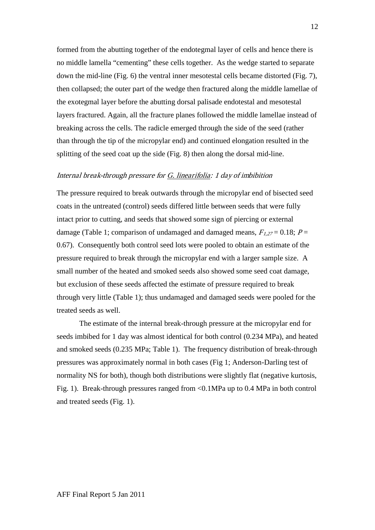formed from the abutting together of the endotegmal layer of cells and hence there is no middle lamella "cementing" these cells together. As the wedge started to separate down the mid-line (Fig. 6) the ventral inner mesotestal cells became distorted (Fig. 7), then collapsed; the outer part of the wedge then fractured along the middle lamellae of the exotegmal layer before the abutting dorsal palisade endotestal and mesotestal layers fractured. Again, all the fracture planes followed the middle lamellae instead of breaking across the cells. The radicle emerged through the side of the seed (rather than through the tip of the micropylar end) and continued elongation resulted in the splitting of the seed coat up the side (Fig. 8) then along the dorsal mid-line.

### Internal break-through pressure for G. linearifolia: 1 day of imbibition

The pressure required to break outwards through the micropylar end of bisected seed coats in the untreated (control) seeds differed little between seeds that were fully intact prior to cutting, and seeds that showed some sign of piercing or external damage (Table 1; comparison of undamaged and damaged means,  $F_{1,27} = 0.18$ ;  $P =$ 0.67). Consequently both control seed lots were pooled to obtain an estimate of the pressure required to break through the micropylar end with a larger sample size. A small number of the heated and smoked seeds also showed some seed coat damage, but exclusion of these seeds affected the estimate of pressure required to break through very little (Table 1); thus undamaged and damaged seeds were pooled for the treated seeds as well.

The estimate of the internal break-through pressure at the micropylar end for seeds imbibed for 1 day was almost identical for both control (0.234 MPa), and heated and smoked seeds (0.235 MPa; Table 1). The frequency distribution of break-through pressures was approximately normal in both cases (Fig 1; Anderson-Darling test of normality NS for both), though both distributions were slightly flat (negative kurtosis, Fig. 1). Break-through pressures ranged from <0.1MPa up to 0.4 MPa in both control and treated seeds (Fig. 1).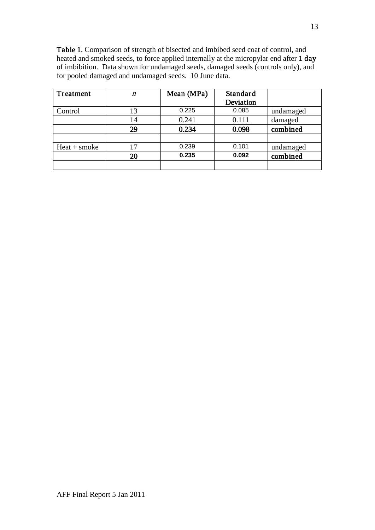Table 1. Comparison of strength of bisected and imbibed seed coat of control, and heated and smoked seeds, to force applied internally at the micropylar end after 1 day of imbibition. Data shown for undamaged seeds, damaged seeds (controls only), and for pooled damaged and undamaged seeds. 10 June data.

| Treatment      | $\eta$ | Mean (MPa) | Standard<br>Deviation |           |
|----------------|--------|------------|-----------------------|-----------|
| Control        | 13     | 0.225      | 0.085                 | undamaged |
|                | 14     | 0.241      | 0.111                 | damaged   |
|                | 29     | 0.234      | 0.098                 | combined  |
|                |        |            |                       |           |
| $Heat + smoke$ | 17     | 0.239      | 0.101                 | undamaged |
|                | 20     | 0.235      | 0.092                 | combined  |
|                |        |            |                       |           |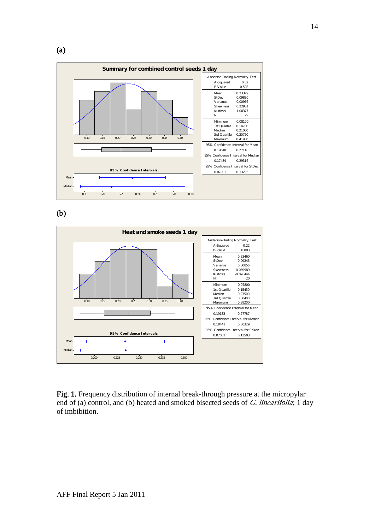



(b)



Fig. 1. Frequency distribution of internal break-through pressure at the micropylar end of (a) control, and (b) heated and smoked bisected seeds of G. linearifolia; 1 day of imbibition.

14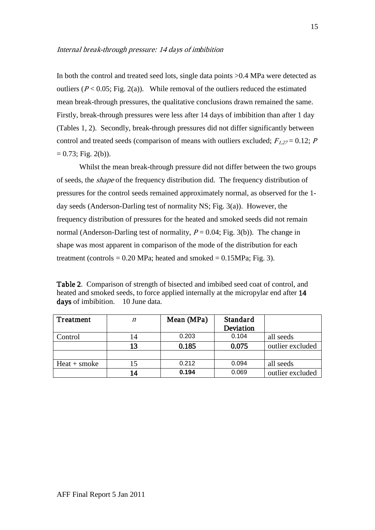#### Internal break-through pressure: 14 days of imbibition

In both the control and treated seed lots, single data points  $>0.4$  MPa were detected as outliers ( $P < 0.05$ ; Fig. 2(a)). While removal of the outliers reduced the estimated mean break-through pressures, the qualitative conclusions drawn remained the same. Firstly, break-through pressures were less after 14 days of imbibition than after 1 day (Tables 1, 2). Secondly, break-through pressures did not differ significantly between control and treated seeds (comparison of means with outliers excluded;  $F_{1,27} = 0.12$ ; P  $= 0.73$ ; Fig. 2(b)).

Whilst the mean break-through pressure did not differ between the two groups of seeds, the shape of the frequency distribution did. The frequency distribution of pressures for the control seeds remained approximately normal, as observed for the 1 day seeds (Anderson-Darling test of normality NS; Fig. 3(a)). However, the frequency distribution of pressures for the heated and smoked seeds did not remain normal (Anderson-Darling test of normality,  $P = 0.04$ ; Fig. 3(b)). The change in shape was most apparent in comparison of the mode of the distribution for each treatment (controls  $= 0.20$  MPa; heated and smoked  $= 0.15$ MPa; Fig. 3).

Table 2. Comparison of strength of bisected and imbibed seed coat of control, and heated and smoked seeds, to force applied internally at the micropylar end after 14 days of imbibition. 10 June data.

| Treatment      | $\boldsymbol{n}$ | Mean (MPa) | Standard  |                  |
|----------------|------------------|------------|-----------|------------------|
|                |                  |            | Deviation |                  |
| Control        | 14               | 0.203      | 0.104     | all seeds        |
|                | 13               | 0.185      | 0.075     | outlier excluded |
|                |                  |            |           |                  |
| $Heat + smoke$ | 15               | 0.212      | 0.094     | all seeds        |
|                | 14               | 0.194      | 0.069     | outlier excluded |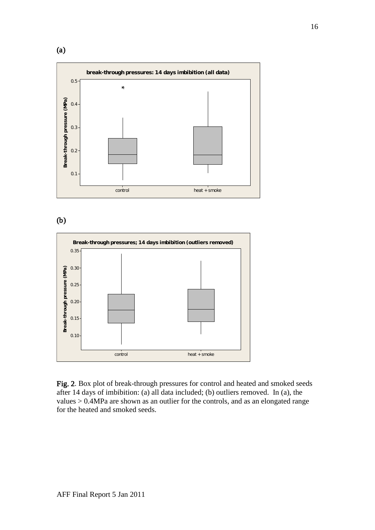

(b)



Fig. 2. Box plot of break-through pressures for control and heated and smoked seeds after 14 days of imbibition: (a) all data included; (b) outliers removed. In (a), the values > 0.4MPa are shown as an outlier for the controls, and as an elongated range for the heated and smoked seeds.

(a)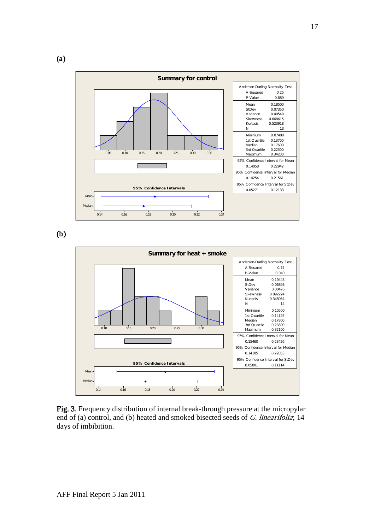

(b)



Fig. 3. Frequency distribution of internal break-through pressure at the micropylar end of (a) control, and (b) heated and smoked bisected seeds of G. linearifolia; 14 days of imbibition.

(a)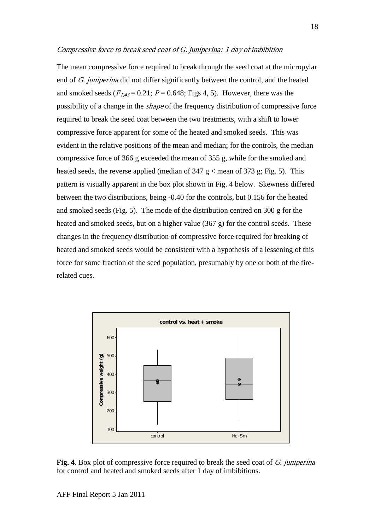#### Compressive force to break seed coat of G. juniperina: 1 day of imbibition

The mean compressive force required to break through the seed coat at the micropylar end of G. juniperina did not differ significantly between the control, and the heated and smoked seeds ( $F_{1,43}$  = 0.21;  $P = 0.648$ ; Figs 4, 5). However, there was the possibility of a change in the shape of the frequency distribution of compressive force required to break the seed coat between the two treatments, with a shift to lower compressive force apparent for some of the heated and smoked seeds. This was evident in the relative positions of the mean and median; for the controls, the median compressive force of 366 g exceeded the mean of 355 g, while for the smoked and heated seeds, the reverse applied (median of  $347 \text{ g} <$  mean of  $373 \text{ g}$ ; Fig. 5). This pattern is visually apparent in the box plot shown in Fig. 4 below. Skewness differed between the two distributions, being -0.40 for the controls, but 0.156 for the heated and smoked seeds (Fig. 5). The mode of the distribution centred on 300 g for the heated and smoked seeds, but on a higher value (367 g) for the control seeds. These changes in the frequency distribution of compressive force required for breaking of heated and smoked seeds would be consistent with a hypothesis of a lessening of this force for some fraction of the seed population, presumably by one or both of the firerelated cues.





AFF Final Report 5 Jan 2011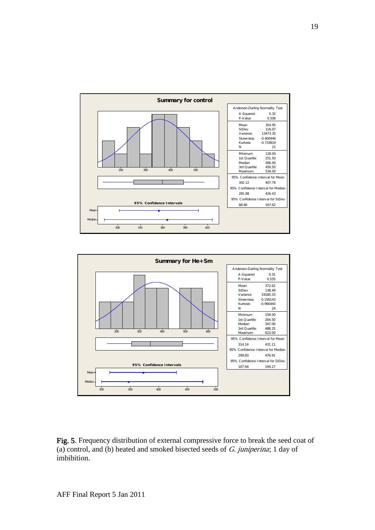



Fig. 5. Frequency distribution of external compressive force to break the seed coat of (a) control, and (b) heated and smoked bisected seeds of  $G$ . juniperina; 1 day of imbibition.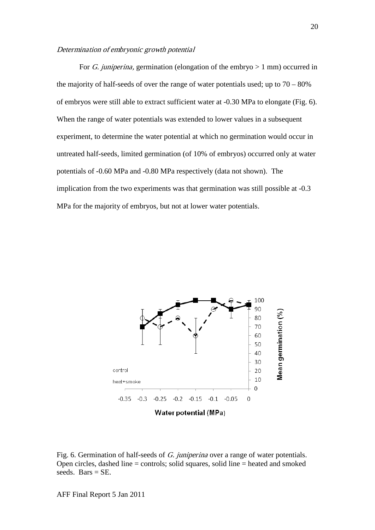#### Determination of embryonic growth potential

For *G. juniperina*, germination (elongation of the embryo  $> 1$  mm) occurred in the majority of half-seeds of over the range of water potentials used; up to  $70 - 80\%$ of embryos were still able to extract sufficient water at -0.30 MPa to elongate (Fig. 6). When the range of water potentials was extended to lower values in a subsequent experiment, to determine the water potential at which no germination would occur in untreated half-seeds, limited germination (of 10% of embryos) occurred only at water potentials of -0.60 MPa and -0.80 MPa respectively (data not shown). The implication from the two experiments was that germination was still possible at -0.3 MPa for the majority of embryos, but not at lower water potentials.



Fig. 6. Germination of half-seeds of G. juniperina over a range of water potentials. Open circles, dashed line = controls; solid squares, solid line = heated and smoked seeds. Bars  $=$  SE.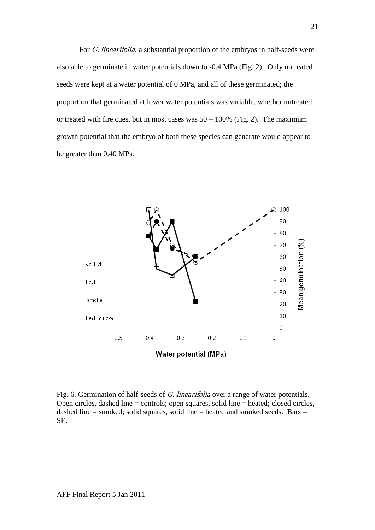For G. linearifolia, a substantial proportion of the embryos in half-seeds were also able to germinate in water potentials down to -0.4 MPa (Fig. 2). Only untreated seeds were kept at a water potential of 0 MPa, and all of these germinated; the proportion that germinated at lower water potentials was variable, whether untreated or treated with fire cues, but in most cases was  $50 - 100\%$  (Fig. 2). The maximum growth potential that the embryo of both these species can generate would appear to be greater than 0.40 MPa.



Fig. 6. Germination of half-seeds of G. linearifolia over a range of water potentials. Open circles, dashed line = controls; open squares, solid line = heated; closed circles, dashed line = smoked; solid squares, solid line = heated and smoked seeds. Bars = SE.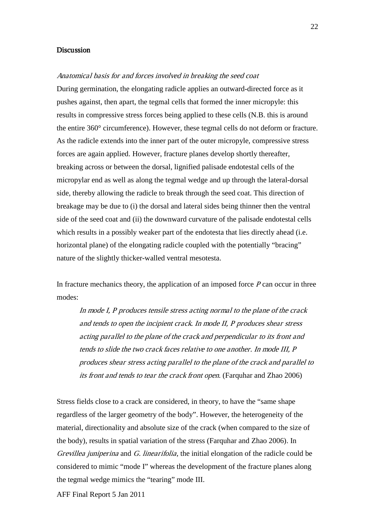#### **Discussion**

#### Anatomical basis for and forces involved in breaking the seed coat

During germination, the elongating radicle applies an outward-directed force as it pushes against, then apart, the tegmal cells that formed the inner micropyle: this results in compressive stress forces being applied to these cells (N.B. this is around the entire 360° circumference). However, these tegmal cells do not deform or fracture. As the radicle extends into the inner part of the outer micropyle, compressive stress forces are again applied. However, fracture planes develop shortly thereafter, breaking across or between the dorsal, lignified palisade endotestal cells of the micropylar end as well as along the tegmal wedge and up through the lateral-dorsal side, thereby allowing the radicle to break through the seed coat. This direction of breakage may be due to (i) the dorsal and lateral sides being thinner then the ventral side of the seed coat and (ii) the downward curvature of the palisade endotestal cells which results in a possibly weaker part of the endotesta that lies directly ahead (i.e. horizontal plane) of the elongating radicle coupled with the potentially "bracing" nature of the slightly thicker-walled ventral mesotesta.

In fracture mechanics theory, the application of an imposed force  $P$  can occur in three modes:

In mode I, P produces tensile stress acting normal to the plane of the crack and tends to open the incipient crack. In mode II, P produces shear stress acting parallel to the plane of the crack and perpendicular to its front and tends to slide the two crack faces relative to one another. In mode III, P produces shear stress acting parallel to the plane of the crack and parallel to its front and tends to tear the crack front open. (Farquhar and Zhao 2006)

Stress fields close to a crack are considered, in theory, to have the "same shape regardless of the larger geometry of the body". However, the heterogeneity of the material, directionality and absolute size of the crack (when compared to the size of the body), results in spatial variation of the stress (Farquhar and Zhao 2006). In Grevillea juniperina and G. linearifolia, the initial elongation of the radicle could be considered to mimic "mode I" whereas the development of the fracture planes along the tegmal wedge mimics the "tearing" mode III.

AFF Final Report 5 Jan 2011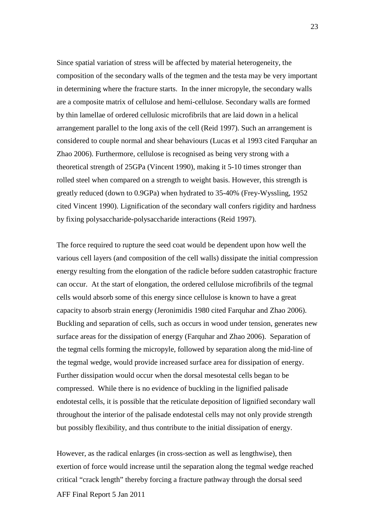Since spatial variation of stress will be affected by material heterogeneity, the composition of the secondary walls of the tegmen and the testa may be very important in determining where the fracture starts. In the inner micropyle, the secondary walls are a composite matrix of cellulose and hemi-cellulose. Secondary walls are formed by thin lamellae of ordered cellulosic microfibrils that are laid down in a helical arrangement parallel to the long axis of the cell (Reid 1997). Such an arrangement is considered to couple normal and shear behaviours (Lucas et al 1993 cited Farquhar an Zhao 2006). Furthermore, cellulose is recognised as being very strong with a theoretical strength of 25GPa (Vincent 1990), making it 5-10 times stronger than rolled steel when compared on a strength to weight basis. However, this strength is greatly reduced (down to 0.9GPa) when hydrated to 35-40% (Frey-Wyssling, 1952 cited Vincent 1990). Lignification of the secondary wall confers rigidity and hardness by fixing polysaccharide-polysaccharide interactions (Reid 1997).

The force required to rupture the seed coat would be dependent upon how well the various cell layers (and composition of the cell walls) dissipate the initial compression energy resulting from the elongation of the radicle before sudden catastrophic fracture can occur. At the start of elongation, the ordered cellulose microfibrils of the tegmal cells would absorb some of this energy since cellulose is known to have a great capacity to absorb strain energy (Jeronimidis 1980 cited Farquhar and Zhao 2006). Buckling and separation of cells, such as occurs in wood under tension, generates new surface areas for the dissipation of energy (Farquhar and Zhao 2006). Separation of the tegmal cells forming the micropyle, followed by separation along the mid-line of the tegmal wedge, would provide increased surface area for dissipation of energy. Further dissipation would occur when the dorsal mesotestal cells began to be compressed. While there is no evidence of buckling in the lignified palisade endotestal cells, it is possible that the reticulate deposition of lignified secondary wall throughout the interior of the palisade endotestal cells may not only provide strength but possibly flexibility, and thus contribute to the initial dissipation of energy.

AFF Final Report 5 Jan 2011 However, as the radical enlarges (in cross-section as well as lengthwise), then exertion of force would increase until the separation along the tegmal wedge reached critical "crack length" thereby forcing a fracture pathway through the dorsal seed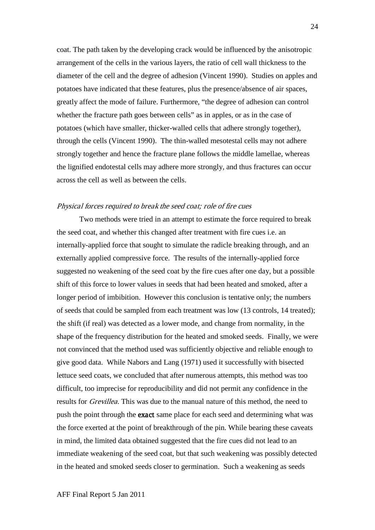coat. The path taken by the developing crack would be influenced by the anisotropic arrangement of the cells in the various layers, the ratio of cell wall thickness to the diameter of the cell and the degree of adhesion (Vincent 1990). Studies on apples and potatoes have indicated that these features, plus the presence/absence of air spaces, greatly affect the mode of failure. Furthermore, "the degree of adhesion can control whether the fracture path goes between cells" as in apples, or as in the case of potatoes (which have smaller, thicker-walled cells that adhere strongly together), through the cells (Vincent 1990). The thin-walled mesotestal cells may not adhere strongly together and hence the fracture plane follows the middle lamellae, whereas the lignified endotestal cells may adhere more strongly, and thus fractures can occur across the cell as well as between the cells.

### Physical forces required to break the seed coat; role of fire cues

Two methods were tried in an attempt to estimate the force required to break the seed coat, and whether this changed after treatment with fire cues i.e. an internally-applied force that sought to simulate the radicle breaking through, and an externally applied compressive force. The results of the internally-applied force suggested no weakening of the seed coat by the fire cues after one day, but a possible shift of this force to lower values in seeds that had been heated and smoked, after a longer period of imbibition. However this conclusion is tentative only; the numbers of seeds that could be sampled from each treatment was low (13 controls, 14 treated); the shift (if real) was detected as a lower mode, and change from normality, in the shape of the frequency distribution for the heated and smoked seeds. Finally, we were not convinced that the method used was sufficiently objective and reliable enough to give good data. While Nabors and Lang (1971) used it successfully with bisected lettuce seed coats, we concluded that after numerous attempts, this method was too difficult, too imprecise for reproducibility and did not permit any confidence in the results for *Grevillea*. This was due to the manual nature of this method, the need to push the point through the exact same place for each seed and determining what was the force exerted at the point of breakthrough of the pin. While bearing these caveats in mind, the limited data obtained suggested that the fire cues did not lead to an immediate weakening of the seed coat, but that such weakening was possibly detected in the heated and smoked seeds closer to germination. Such a weakening as seeds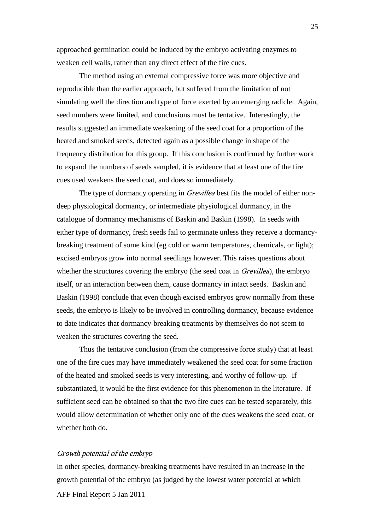approached germination could be induced by the embryo activating enzymes to weaken cell walls, rather than any direct effect of the fire cues.

The method using an external compressive force was more objective and reproducible than the earlier approach, but suffered from the limitation of not simulating well the direction and type of force exerted by an emerging radicle. Again, seed numbers were limited, and conclusions must be tentative. Interestingly, the results suggested an immediate weakening of the seed coat for a proportion of the heated and smoked seeds, detected again as a possible change in shape of the frequency distribution for this group. If this conclusion is confirmed by further work to expand the numbers of seeds sampled, it is evidence that at least one of the fire cues used weakens the seed coat, and does so immediately.

The type of dormancy operating in *Grevillea* best fits the model of either nondeep physiological dormancy, or intermediate physiological dormancy, in the catalogue of dormancy mechanisms of Baskin and Baskin (1998). In seeds with either type of dormancy, fresh seeds fail to germinate unless they receive a dormancybreaking treatment of some kind (eg cold or warm temperatures, chemicals, or light); excised embryos grow into normal seedlings however. This raises questions about whether the structures covering the embryo (the seed coat in *Grevillea*), the embryo itself, or an interaction between them, cause dormancy in intact seeds. Baskin and Baskin (1998) conclude that even though excised embryos grow normally from these seeds, the embryo is likely to be involved in controlling dormancy, because evidence to date indicates that dormancy-breaking treatments by themselves do not seem to weaken the structures covering the seed.

Thus the tentative conclusion (from the compressive force study) that at least one of the fire cues may have immediately weakened the seed coat for some fraction of the heated and smoked seeds is very interesting, and worthy of follow-up. If substantiated, it would be the first evidence for this phenomenon in the literature. If sufficient seed can be obtained so that the two fire cues can be tested separately, this would allow determination of whether only one of the cues weakens the seed coat, or whether both do.

#### Growth potential of the embryo

AFF Final Report 5 Jan 2011 In other species, dormancy-breaking treatments have resulted in an increase in the growth potential of the embryo (as judged by the lowest water potential at which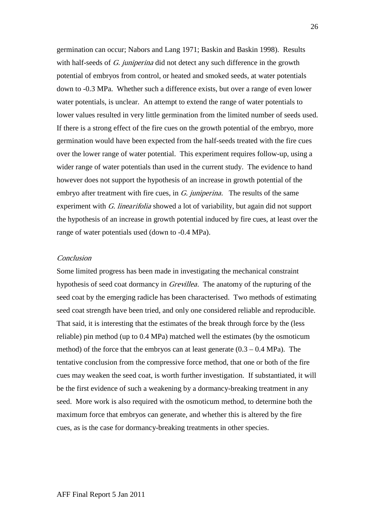germination can occur; Nabors and Lang 1971; Baskin and Baskin 1998). Results with half-seeds of G. juniperina did not detect any such difference in the growth potential of embryos from control, or heated and smoked seeds, at water potentials down to -0.3 MPa. Whether such a difference exists, but over a range of even lower water potentials, is unclear. An attempt to extend the range of water potentials to lower values resulted in very little germination from the limited number of seeds used. If there is a strong effect of the fire cues on the growth potential of the embryo, more germination would have been expected from the half-seeds treated with the fire cues over the lower range of water potential. This experiment requires follow-up, using a wider range of water potentials than used in the current study. The evidence to hand however does not support the hypothesis of an increase in growth potential of the embryo after treatment with fire cues, in  $G$ . juniperina. The results of the same experiment with G. linearifolia showed a lot of variability, but again did not support the hypothesis of an increase in growth potential induced by fire cues, at least over the range of water potentials used (down to -0.4 MPa).

## Conclusion

Some limited progress has been made in investigating the mechanical constraint hypothesis of seed coat dormancy in *Grevillea*. The anatomy of the rupturing of the seed coat by the emerging radicle has been characterised. Two methods of estimating seed coat strength have been tried, and only one considered reliable and reproducible. That said, it is interesting that the estimates of the break through force by the (less reliable) pin method (up to 0.4 MPa) matched well the estimates (by the osmoticum method) of the force that the embryos can at least generate  $(0.3 - 0.4 \text{ MPa})$ . The tentative conclusion from the compressive force method, that one or both of the fire cues may weaken the seed coat, is worth further investigation. If substantiated, it will be the first evidence of such a weakening by a dormancy-breaking treatment in any seed. More work is also required with the osmoticum method, to determine both the maximum force that embryos can generate, and whether this is altered by the fire cues, as is the case for dormancy-breaking treatments in other species.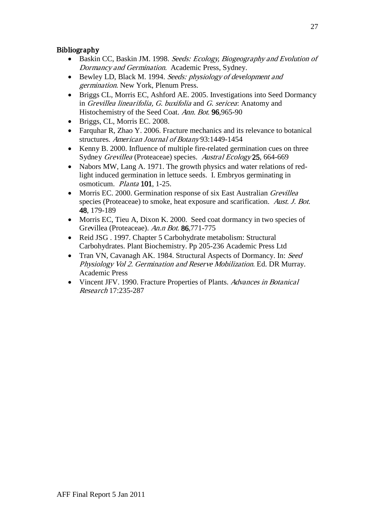# Bibliography

- Baskin CC, Baskin JM. 1998. Seeds: Ecology, Biogeography and Evolution of Dormancy and Germination. Academic Press, Sydney.
- Bewley LD, Black M. 1994. Seeds: physiology of development and germination. New York, Plenum Press.
- Briggs CL, Morris EC, Ashford AE. 2005. Investigations into Seed Dormancy in Grevillea linearifolia, G. buxifolia and G. sericea: Anatomy and Histochemistry of the Seed Coat. Ann. Bot. 96,965-90
- Briggs, CL, Morris EC. 2008.
- Farquhar R, Zhao Y. 2006. Fracture mechanics and its relevance to botanical structures. American Journal of Botany 93:1449-1454
- Kenny B. 2000. Influence of multiple fire-related germination cues on three Sydney Grevillea (Proteaceae) species. Austral Ecology 25, 664-669
- Nabors MW, Lang A. 1971. The growth physics and water relations of redlight induced germination in lettuce seeds. I. Embryos germinating in osmoticum. Planta 101, 1-25.
- Morris EC. 2000. Germination response of six East Australian *Grevillea* species (Proteaceae) to smoke, heat exposure and scarification. Aust. J. Bot. 48, 179-189
- Morris EC, Tieu A, Dixon K. 2000. Seed coat dormancy in two species of Grevillea (Proteaceae). An.n Bot. 86,771-775
- Reid JSG . 1997. Chapter 5 Carbohydrate metabolism: Structural Carbohydrates. Plant Biochemistry. Pp 205-236 Academic Press Ltd
- Tran VN, Cavanagh AK. 1984. Structural Aspects of Dormancy. In: Seed Physiology Vol 2. Germination and Reserve Mobilization. Ed. DR Murray. Academic Press
- Vincent JFV. 1990. Fracture Properties of Plants. Advances in Botanical Research 17:235-287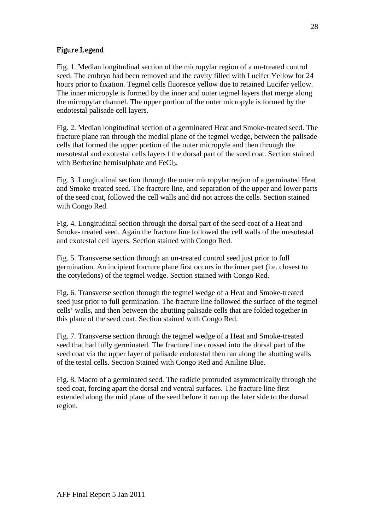# Figure Legend

Fig. 1. Median longitudinal section of the micropylar region of a un-treated control seed. The embryo had been removed and the cavity filled with Lucifer Yellow for 24 hours prior to fixation. Tegmel cells fluoresce yellow due to retained Lucifer yellow. The inner micropyle is formed by the inner and outer tegmel layers that merge along the micropylar channel. The upper portion of the outer micropyle is formed by the endotestal palisade cell layers.

Fig. 2. Median longitudinal section of a germinated Heat and Smoke-treated seed. The fracture plane ran through the medial plane of the tegmel wedge, between the palisade cells that formed the upper portion of the outer micropyle and then through the mesotestal and exotestal cells layers f the dorsal part of the seed coat. Section stained with Berberine hemisulphate and FeCl<sub>3</sub>.

Fig. 3. Longitudinal section through the outer micropylar region of a germinated Heat and Smoke-treated seed. The fracture line, and separation of the upper and lower parts of the seed coat, followed the cell walls and did not across the cells. Section stained with Congo Red.

Fig. 4. Longitudinal section through the dorsal part of the seed coat of a Heat and Smoke- treated seed. Again the fracture line followed the cell walls of the mesotestal and exotestal cell layers. Section stained with Congo Red.

Fig. 5. Transverse section through an un-treated control seed just prior to full germination. An incipient fracture plane first occurs in the inner part (i.e. closest to the cotyledons) of the tegmel wedge. Section stained with Congo Red.

Fig. 6. Transverse section through the tegmel wedge of a Heat and Smoke-treated seed just prior to full germination. The fracture line followed the surface of the tegmel cells' walls, and then between the abutting palisade cells that are folded together in this plane of the seed coat. Section stained with Congo Red.

Fig. 7. Transverse section through the tegmel wedge of a Heat and Smoke-treated seed that had fully germinated. The fracture line crossed into the dorsal part of the seed coat via the upper layer of palisade endotestal then ran along the abutting walls of the testal cells. Section Stained with Congo Red and Aniline Blue.

Fig. 8. Macro of a germinated seed. The radicle protruded asymmetrically through the seed coat, forcing apart the dorsal and ventral surfaces. The fracture line first extended along the mid plane of the seed before it ran up the later side to the dorsal region.